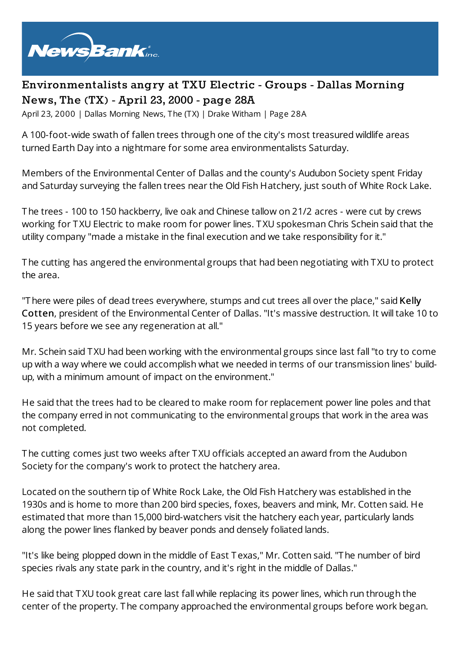

## **Environmentalists angry at TXU Electric - Groups - Dallas Morning News, The (TX) - April 23, 2000 - page 28A**

April 23, 2000 | Dallas Morning News, The (TX) | Drake Witham | Page 28A

A 100-foot-wide swath of fallen trees through one of the city's most treasured wildlife areas turned Earth Day into a nightmare for some area environmentalists Saturday.

Members of the Environmental Center of Dallas and the county's Audubon Society spent Friday and Saturday surveying the fallen trees near the Old Fish Hatchery, just south of White Rock Lake.

The trees - 100 to 150 hackberry, live oak and Chinese tallow on 21/2 acres - were cut by crews working for TXU Electric to make room for power lines. TXU spokesman Chris Schein said that the utility company "made a mistake in the final execution and we take responsibility for it."

The cutting has angered the environmental groups that had been negotiating with TXU to protect the area.

"There were piles of dead trees everywhere, stumps and cut trees all over the place," said Kelly Cotten, president of the Environmental Center of Dallas. "It's massive destruction. It will take 10 to 15 years before we see any regeneration at all."

Mr. Schein said TXU had been working with the environmental groups since last fall"to try to come up with a way where we could accomplish what we needed in terms of our transmission lines' buildup, with a minimum amount of impact on the environment."

He said that the trees had to be cleared to make room for replacement power line poles and that the company erred in not communicating to the environmental groups that work in the area was not completed.

The cutting comes just two weeks after TXU officials accepted an award from the Audubon Society for the company's work to protect the hatchery area.

Located on the southern tip of White Rock Lake, the Old Fish Hatchery was established in the 1930s and is home to more than 200 bird species, foxes, beavers and mink, Mr. Cotten said. He estimated that more than 15,000 bird-watchers visit the hatchery each year, particularly lands along the power lines flanked by beaver ponds and densely foliated lands.

"It's like being plopped down in the middle of East Texas," Mr. Cotten said. "The number of bird species rivals any state park in the country, and it's right in the middle of Dallas."

He said that TXU took great care last fall while replacing its power lines, which run through the center of the property. The company approached the environmental groups before work began.